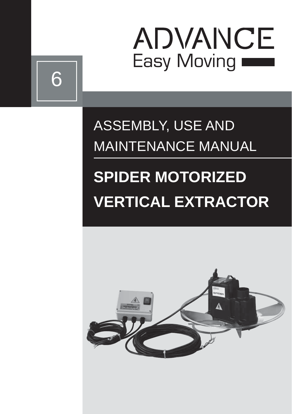

# ASSEMBLY, USE AND MAINTENANCE MANUAL

6

# **SPIDER MOTORIZED VERTICAL EXTRACTOR**

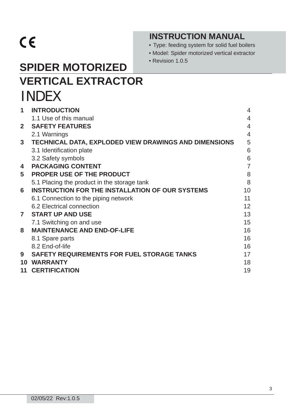# $C \in$

## **INSTRUCTION MANUAL**

• Type: feeding system for solid fuel boilers

- Model: Spider motorized vertical extractor
- Revision 1.0.5

## **SPIDER MOTORIZED VERTICAL EXTRACTOR** INDEX

| 1              | <b>INTRODUCTION</b>                                    | 4                 |
|----------------|--------------------------------------------------------|-------------------|
|                | 1.1 Use of this manual                                 | 4                 |
| $\mathbf{2}$   | <b>SAFETY FEATURES</b>                                 | $\overline{4}$    |
|                | 2.1 Warnings                                           | $\overline{4}$    |
| 3              | TECHNICAL DATA, EXPLODED VIEW DRAWINGS AND DIMENSIONS  | 5                 |
|                | 3.1 Identification plate                               | 6                 |
|                | 3.2 Safety symbols                                     | 6                 |
| 4              | <b>PACKAGING CONTENT</b>                               | $\overline{7}$    |
| 5              | <b>PROPER USE OF THE PRODUCT</b>                       | 8                 |
|                | 5.1 Placing the product in the storage tank            | 8                 |
| 6              | <b>INSTRUCTION FOR THE INSTALLATION OF OUR SYSTEMS</b> | 10                |
|                | 6.1 Connection to the piping network                   | 11                |
|                | 6.2 Electrical connection                              | $12 \overline{ }$ |
| $\overline{7}$ | <b>START UP AND USE</b>                                | 13                |
|                | 7.1 Switching on and use                               | 15                |
| 8              | <b>MAINTENANCE AND END-OF-LIFE</b>                     | 16                |
|                | 8.1 Spare parts                                        | 16                |
|                | 8.2 End-of-life                                        | 16                |
| 9              | <b>SAFETY REQUIREMENTS FOR FUEL STORAGE TANKS</b>      | 17                |
| 10             | <b>WARRANTY</b>                                        | 18                |
| 11             | <b>CERTIFICATION</b>                                   | 19                |
|                |                                                        |                   |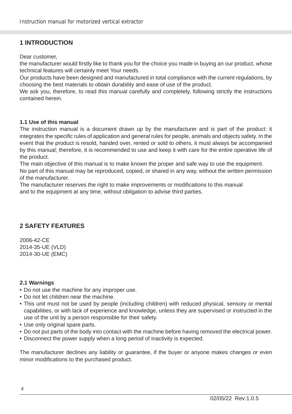## **1 INTRODUCTION**

Dear customer,

the manufacturer would firstly like to thank you for the choice you made in buying an our product, whose technical features will certainly meet Your needs.

Our products have been designed and manufactured in total compliance with the current regulations, by choosing the best materials to obtain durability and ease of use of the product.

We ask you, therefore, to read this manual carefully and completely, following strictly the instructions contained herein.

#### **1.1 Use of this manual**

The instruction manual is a document drawn up by the manufacturer and is part of the product: it integrates the specific rules of application and general rules for people, animals and objects safety. In the event that the product is resold, handed over, rented or sold to others, it must always be accompanied by this manual; therefore, it is recommended to use and keep it with care for the entire operative life of the product.

The main objective of this manual is to make known the proper and safe way to use the equipment.

No part of this manual may be reproduced, copied, or shared in any way, without the written permission of the manufacturer.

The manufacturer reserves the right to make improvements or modifications to this manual and to the equipment at any time, without obligation to advise third parties.

## **2 SAFETY FEATURES**

2006-42-CE 2014-35-UE (VLD) 2014-30-UE (EMC)

#### **2.1 Warnings**

- Do not use the machine for any improper use.
- Do not let children near the machine.
- This unit must not be used by people (including children) with reduced physical, sensory or mental capabilities, or with lack of experience and knowledge, unless they are supervised or instructed in the use of the unit by a person responsible for their safety.
- Use only original spare parts.
- Do not put parts of the body into contact with the machine before having removed the electrical power.
- Disconnect the power supply when a long period of inactivity is expected.

The manufacturer declines any liability or guarantee, if the buyer or anyone makes changes or even minor modifications to the purchased product.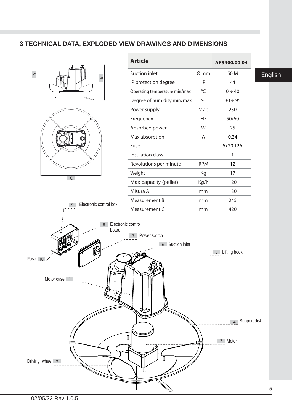#### **3 TECHNICAL DATA, EXPLODED VIEW DRAWINGS AND DIMENSIONS**

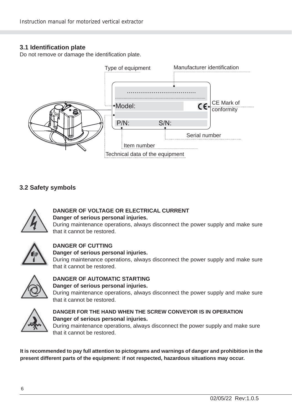#### **3.1 Identifi cation plate**

Do not remove or damage the identification plate.



#### **3.2 Safety symbols**



#### **DANGER OF VOLTAGE OR ELECTRICAL CURRENT Danger of serious personal injuries.**

During maintenance operations, always disconnect the power supply and make sure that it cannot be restored.



## **DANGER OF CUTTING**

#### **Danger of serious personal injuries.**

During maintenance operations, always disconnect the power supply and make sure that it cannot be restored.



#### **DANGER OF AUTOMATIC STARTING Danger of serious personal injuries.**

During maintenance operations, always disconnect the power supply and make sure that it cannot be restored.



#### **DANGER FOR THE HAND WHEN THE SCREW CONVEYOR IS IN OPERATION Danger of serious personal injuries.**

During maintenance operations, always disconnect the power supply and make sure that it cannot be restored.

**It is recommended to pay full attention to pictograms and warnings of danger and prohibition in the present different parts of the equipment: if not respected, hazardous situations may occur.**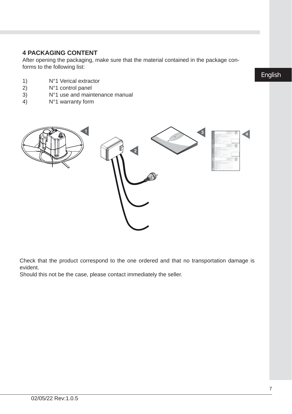### **4 PACKAGING CONTENT**

After opening the packaging, make sure that the material contained in the package conforms to the following list:

- 1) N°1 Verical extractor<br>2) N°1 control panel
- 2)  $N^{\circ}1$  control panel<br>3)  $N^{\circ}1$  use and main
- 3)  $N^{\circ}1$  use and maintenance manual 4)  $N^{\circ}1$  warranty form
- N°1 warranty form



Check that the product correspond to the one ordered and that no transportation damage is evident.

Should this not be the case, please contact immediately the seller.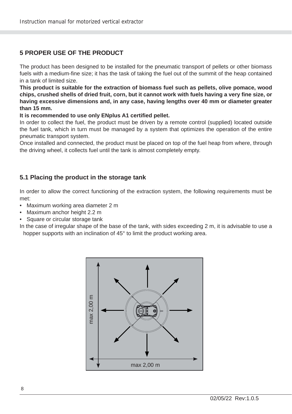## **5 PROPER USE OF THE PRODUCT**

The product has been designed to be installed for the pneumatic transport of pellets or other biomass fuels with a medium-fine size; it has the task of taking the fuel out of the summit of the heap contained in a tank of limited size.

**This product is suitable for the extraction of biomass fuel such as pellets, olive pomace, wood chips, crushed shells of dried fruit, corn, but it cannot work with fuels having a very fi ne size, or having excessive dimensions and, in any case, having lengths over 40 mm or diameter greater than 15 mm.**

It is recommended to use only ENplus A1 certified pellet.

In order to collect the fuel, the product must be driven by a remote control (supplied) located outside the fuel tank, which in turn must be managed by a system that optimizes the operation of the entire pneumatic transport system.

Once installed and connected, the product must be placed on top of the fuel heap from where, through the driving wheel, it collects fuel until the tank is almost completely empty.

#### **5.1 Placing the product in the storage tank**

In order to allow the correct functioning of the extraction system, the following requirements must be met:

- Maximum working area diameter 2 m
- Maximum anchor height 2.2 m
- Square or circular storage tank

In the case of irregular shape of the base of the tank, with sides exceeding 2 m, it is advisable to use a hopper supports with an inclination of 45° to limit the product working area.

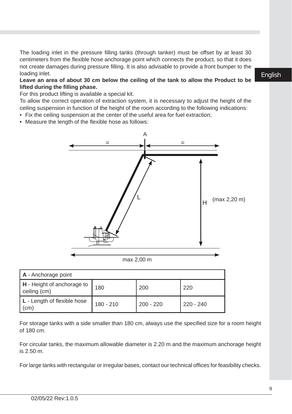The loading inlet in the pressure filling tanks (through tanker) must be offset by at least 30 centimeters from the flexible hose anchorage point which connects the product, so that it does not create damages during pressure filling. It is also advisable to provide a front bumper to the loading inlet.

#### **Leave an area of about 30 cm below the ceiling of the tank to allow the Product to be lifted during the fi lling phase.**

For this product lifting is available a special kit.

To allow the correct operation of extraction system, it is necessary to adjust the height of the ceiling suspension in function of the height of the room according to the following indications:

- Fix the ceiling suspension at the center of the useful area for fuel extraction;
- Measure the length of the flexible hose as follows:



| H - Height of anchorage to<br>ceiling (cm) | 180         | 200         | 220       |
|--------------------------------------------|-------------|-------------|-----------|
| L - Length of flexible hose<br>(cm)        | $180 - 210$ | $200 - 220$ | 220 - 240 |

For storage tanks with a side smaller than 180 cm, always use the specified size for a room height of 180 cm.

For circular tanks, the maximum allowable diameter is 2.20 m and the maximum anchorage height is  $2.50 \text{ m}$ .

For large tanks with rectangular or irregular bases, contact our technical offices for feasibility checks.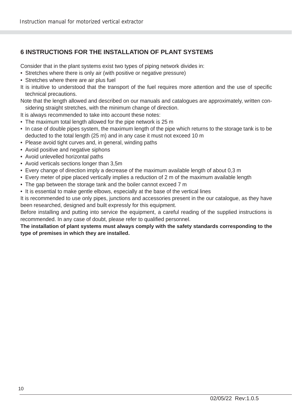## **6 INSTRUCTIONS FOR THE INSTALLATION OF PLANT SYSTEMS**

Consider that in the plant systems exist two types of piping network divides in:

- Stretches where there is only air (with positive or negative pressure)
- Stretches where there are air plus fuel
- It is intuitive to understood that the transport of the fuel requires more attention and the use of specific technical precautions.

Note that the length allowed and described on our manuals and catalogues are approximately, written considering straight stretches, with the minimum change of direction.

It is always recommended to take into account these notes:

- The maximum total length allowed for the pipe network is 25 m
- In case of double pipes system, the maximum length of the pipe which returns to the storage tank is to be deducted to the total length (25 m) and in any case it must not exceed 10 m
- Please avoid tight curves and, in general, winding paths
- Avoid positive and negative siphons
- Avoid unlevelled horizontal paths
- Avoid verticals sections longer than 3,5m
- Every change of direction imply a decrease of the maximum available length of about 0,3 m
- Every meter of pipe placed vertically implies a reduction of 2 m of the maximum available length
- The gap between the storage tank and the boiler cannot exceed 7 m
- It is essential to make gentle elbows, especially at the base of the vertical lines

It is recommended to use only pipes, junctions and accessories present in the our catalogue, as they have been researched, designed and built expressly for this equipment.

Before installing and putting into service the equipment, a careful reading of the supplied instructions is recommended. In any case of doubt, please refer to qualified personnel.

**The installation of plant systems must always comply with the safety standards corresponding to the type of premises in which they are installed.**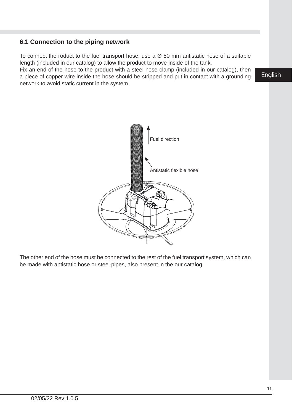#### **6.1 Connection to the piping network**

To connect the roduct to the fuel transport hose, use a  $\varnothing$  50 mm antistatic hose of a suitable length (included in our catalog) to allow the product to move inside of the tank.

Fix an end of the hose to the product with a steel hose clamp (included in our catalog), then a piece of copper wire inside the hose should be stripped and put in contact with a grounding network to avoid static current in the system.

The other end of the hose must be connected to the rest of the fuel transport system, which can be made with antistatic hose or steel pipes, also present in the our catalog.

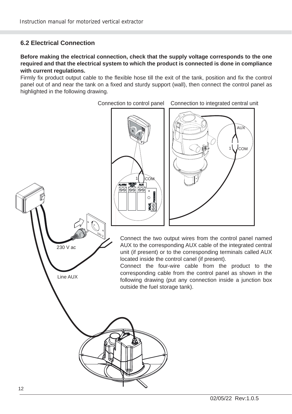## **6.2 Electrical Connection**

#### **Before making the electrical connection, check that the supply voltage corresponds to the one required and that the electrical system to which the product is connected is done in compliance with current regulations.**

Firmly fix product output cable to the flexible hose till the exit of the tank, position and fix the control panel out of and near the tank on a fixed and sturdy support (wall), then connect the control panel as highlighted in the following drawing.

Connection to control panel Connection to integrated central unit

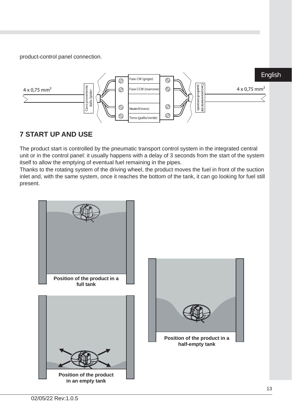product-control panel connection.



## **7 START UP AND USE**

The product start is controlled by the pneumatic transport control system in the integrated central unit or in the control panel: it usually happens with a delay of 3 seconds from the start of the system itself to allow the emptying of eventual fuel remaining in the pipes.

Thanks to the rotating system of the driving wheel, the product moves the fuel in front of the suction inlet and, with the same system, once it reaches the bottom of the tank, it can go looking for fuel still present.

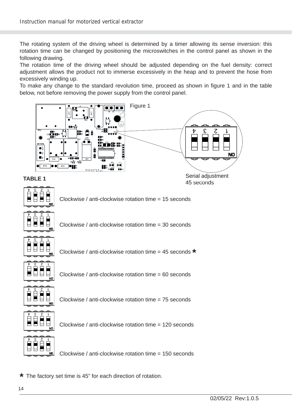The rotating system of the driving wheel is determined by a timer allowing its sense inversion: this rotation time can be changed by positioning the microswitches in the control panel as shown in the following drawing.

The rotation time of the driving wheel should be adjusted depending on the fuel density: correct adjustment allows the product not to immerse excessively in the heap and to prevent the hose from excessively winding up.

To make any change to the standard revolution time, proceed as shown in figure 1 and in the table below, not before removing the power supply from the control panel.



**\*** The factory set time is 45" for each direction of rotation.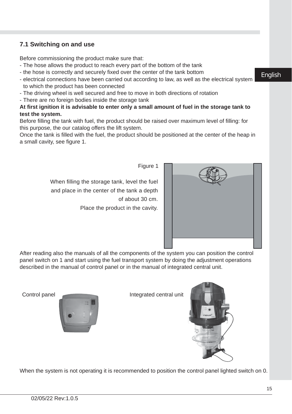## **7.1 Switching on and use**

Before commissioning the product make sure that:

- The hose allows the product to reach every part of the bottom of the tank
- the hose is correctly and securely fixed over the center of the tank bottom
- electrical connections have been carried out according to law, as well as the electrical system to which the product has been connected
- The driving wheel is well secured and free to move in both directions of rotation
- There are no foreign bodies inside the storage tank

#### **At fi rst ignition it is advisable to enter only a small amount of fuel in the storage tank to test the system.**

Before filling the tank with fuel, the product should be raised over maximum level of filling: for this purpose, the our catalog offers the lift system.

Once the tank is filled with the fuel, the product should be positioned at the center of the heap in a small cavity, see figure 1.

Figure 1

When filling the storage tank, level the fuel and place in the center of the tank a depth of about 30 cm. Place the product in the cavity.



After reading also the manuals of all the components of the system you can position the control panel switch on 1 and start using the fuel transport system by doing the adjustment operations described in the manual of control panel or in the manual of integrated central unit.



Control panel **Integrated central unit** 

When the system is not operating it is recommended to position the control panel lighted switch on 0.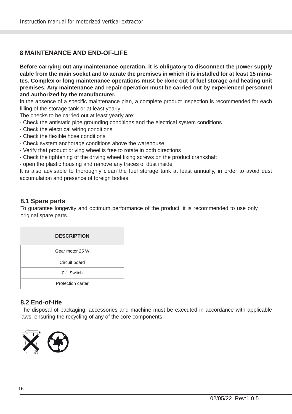### **8 MAINTENANCE AND END-OF-LIFE**

**Before carrying out any maintenance operation, it is obligatory to disconnect the power supply cable from the main socket and to aerate the premises in which it is installed for at least 15 minutes. Complex or long maintenance operations must be done out of fuel storage and heating unit premises. Any maintenance and repair operation must be carried out by experienced personnel and authorized by the manufacturer.**

In the absence of a specific maintenance plan, a complete product inspection is recommended for each filling of the storage tank or at least yearly.

The checks to be carried out at least yearly are:

- Check the antistatic pipe grounding conditions and the electrical system conditions
- Check the electrical wiring conditions
- Check the flexible hose conditions
- Check system anchorage conditions above the warehouse
- Verify that product driving wheel is free to rotate in both directions
- Check the tightening of the driving wheel fixing screws on the product crankshaft
- open the plastic housing and remove any traces of dust inside

It is also advisable to thoroughly clean the fuel storage tank at least annually, in order to avoid dust accumulation and presence of foreign bodies.

#### **8.1 Spare parts**

To guarantee longevity and optimum performance of the product, it is recommended to use only original spare parts.

| <b>DESCRIPTION</b> |
|--------------------|
| Gear motor 25 W    |
| Circuit board      |
| 0-1 Switch         |
| Protection carter  |

#### **8.2 End-of-life**

The disposal of packaging, accessories and machine must be executed in accordance with applicable laws, ensuring the recycling of any of the core components.

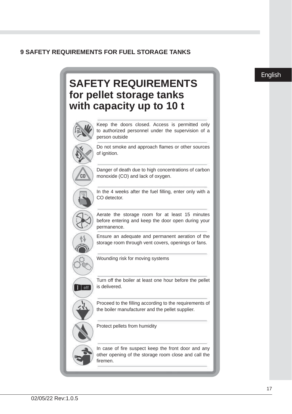#### **9 SAFETY REQUIREMENTS FOR FUEL STORAGE TANKS**

## **SAFETY REQUIREMENTS for pellet storage tanks with capacity up to 10 t** Keep the doors closed. Access is permitted only to authorized personnel under the supervision of a person outside Do not smoke and approach flames or other sources of ignition. Danger of death due to high concentrations of carbon C<sub>0</sub> monoxide (CO) and lack of oxygen. In the 4 weeks after the fuel filling, enter only with a CO detector. Aerate the storage room for at least 15 minutes before entering and keep the door open during your permanence. Ensure an adequate and permanent aeration of the storage room through vent covers, openings or fans. Wounding risk for moving systems Turn off the boiler at least one hour before the pellet is delivered.  $1$  off Proceed to the filling according to the requirements of the boiler manufacturer and the pellet supplier. Protect pellets from humidity In case of fire suspect keep the front door and any other opening of the storage room close and call the firemen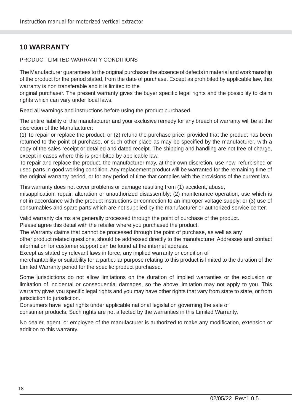## **10 WARRANTY**

#### PRODUCT LIMITED WARRANTY CONDITIONS

The Manufacturer guarantees to the original purchaser the absence of defects in material and workmanship of the product for the period stated, from the date of purchase. Except as prohibited by applicable law, this warranty is non transferable and it is limited to the

original purchaser. The present warranty gives the buyer specifi c legal rights and the possibility to claim rights which can vary under local laws.

Read all warnings and instructions before using the product purchased.

The entire liability of the manufacturer and your exclusive remedy for any breach of warranty will be at the discretion of the Manufacturer:

(1) To repair or replace the product, or (2) refund the purchase price, provided that the product has been returned to the point of purchase, or such other place as may be specified by the manufacturer, with a copy of the sales receipt or detailed and dated receipt. The shipping and handling are not free of charge, except in cases where this is prohibited by applicable law.

To repair and replace the product, the manufacturer may, at their own discretion, use new, refurbished or used parts in good working condition. Any replacement product will be warranted for the remaining time of the original warranty period, or for any period of time that complies with the provisions of the current law.

This warranty does not cover problems or damage resulting from (1) accident, abuse,

misapplication, repair, alteration or unauthorized disassembly; (2) maintenance operation, use which is not in accordance with the product instructions or connection to an improper voltage supply; or (3) use of consumables and spare parts which are not supplied by the manufacturer or authorized service center.

Valid warranty claims are generally processed through the point of purchase of the product.

Please agree this detail with the retailer where you purchased the product.

The Warranty claims that cannot be processed through the point of purchase, as well as any

other product related questions, should be addressed directly to the manufacturer. Addresses and contact information for customer support can be found at the internet address.

Except as stated by relevant laws in force, any implied warranty or condition of

merchantability or suitability for a particular purpose relating to this product is limited to the duration of the Limited Warranty period for the specific product purchased.

Some jurisdictions do not allow limitations on the duration of implied warranties or the exclusion or limitation of incidental or consequential damages, so the above limitation may not apply to you. This warranty gives you specific legal rights and you may have other rights that vary from state to state, or from jurisdiction to jurisdiction.

Consumers have legal rights under applicable national legislation governing the sale of

consumer products. Such rights are not affected by the warranties in this Limited Warranty.

No dealer, agent, or employee of the manufacturer is authorized to make any modification, extension or addition to this warranty.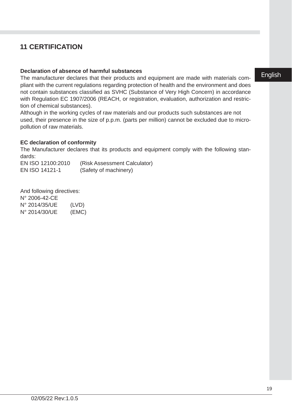## **11 CERTIFICATION**

#### **Declaration of absence of harmful substances**

The manufacturer declares that their products and equipment are made with materials compliant with the current regulations regarding protection of health and the environment and does not contain substances classified as SVHC (Substance of Very High Concern) in accordance with Regulation EC 1907/2006 (REACH, or registration, evaluation, authorization and restriction of chemical substances).

Although in the working cycles of raw materials and our products such substances are not used, their presence in the size of p.p.m. (parts per million) cannot be excluded due to micropollution of raw materials.

#### **EC declaration of conformity**

The Manufacturer declares that its products and equipment comply with the following standards:

EN ISO 12100:2010 (Risk Assessment Calculator) EN ISO 14121-1 (Safety of machinery)

And following directives: N° 2006-42-CE N° 2014/35/UE (LVD) N° 2014/30/UE (EMC)